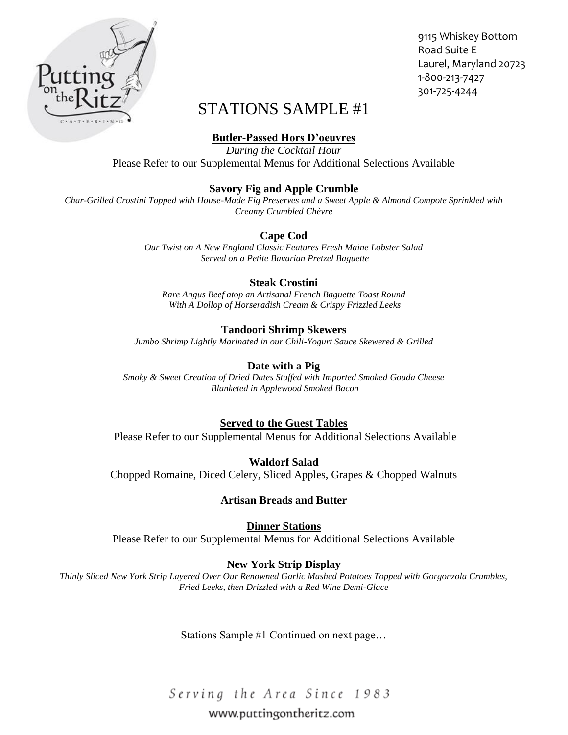

9115 Whiskey Bottom Road Suite E Laurel, Maryland 20723 1-800-213-7427 301-725-4244

# STATIONS SAMPLE #1

**Butler-Passed Hors D'oeuvres**

*During the Cocktail Hour*  Please Refer to our Supplemental Menus for Additional Selections Available

## **Savory Fig and Apple Crumble**

*Char-Grilled Crostini Topped with House-Made Fig Preserves and a Sweet Apple & Almond Compote Sprinkled with Creamy Crumbled Chèvre* 

## **Cape Cod**

*Our Twist on A New England Classic Features Fresh Maine Lobster Salad Served on a Petite Bavarian Pretzel Baguette* 

## **Steak Crostini**

*Rare Angus Beef atop an Artisanal French Baguette Toast Round With A Dollop of Horseradish Cream & Crispy Frizzled Leeks* 

## **Tandoori Shrimp Skewers**

*Jumbo Shrimp Lightly Marinated in our Chili-Yogurt Sauce Skewered & Grilled* 

### **Date with a Pig**

*Smoky & Sweet Creation of Dried Dates Stuffed with Imported Smoked Gouda Cheese Blanketed in Applewood Smoked Bacon* 

## **Served to the Guest Tables**

Please Refer to our Supplemental Menus for Additional Selections Available

**Waldorf Salad** Chopped Romaine, Diced Celery, Sliced Apples, Grapes & Chopped Walnuts

#### **Artisan Breads and Butter**

**Dinner Stations**  Please Refer to our Supplemental Menus for Additional Selections Available

## **New York Strip Display**

*Thinly Sliced New York Strip Layered Over Our Renowned Garlic Mashed Potatoes Topped with Gorgonzola Crumbles, Fried Leeks, then Drizzled with a Red Wine Demi-Glace* 

Stations Sample #1 Continued on next page…

Serving the Area Since 1983

## www.puttingontheritz.com